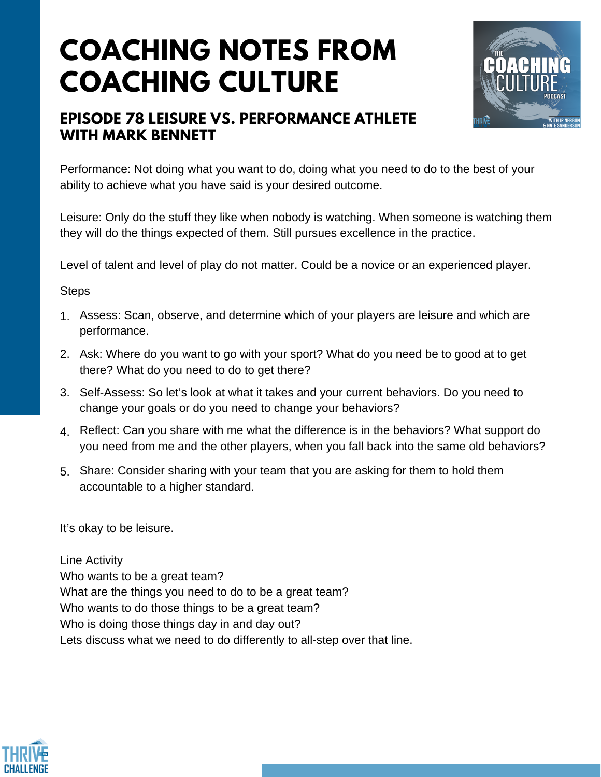# **COACHING NOTES FROM COACHING CULTURE**



## **EPISODE 78 LEISURE VS. PERFORMANCE ATHLETE WITH MARK BENNETT**

Performance: Not doing what you want to do, doing what you need to do to the best of your ability to achieve what you have said is your desired outcome.

Leisure: Only do the stuff they like when nobody is watching. When someone is watching them they will do the things expected of them. Still pursues excellence in the practice.

Level of talent and level of play do not matter. Could be a novice or an experienced player.

#### **Steps**

- Assess: Scan, observe, and determine which of your players are leisure and which are 1. performance.
- Ask: Where do you want to go with your sport? What do you need be to good at to get 2. there? What do you need to do to get there?
- Self-Assess: So let's look at what it takes and your current behaviors. Do you need to 3. change your goals or do you need to change your behaviors?
- 4. Reflect: Can you share with me what the difference is in the behaviors? What support do you need from me and the other players, when you fall back into the same old behaviors?
- 5. Share: Consider sharing with your team that you are asking for them to hold them accountable to a higher standard.

It's okay to be leisure.

Line Activity Who wants to be a great team? What are the things you need to do to be a great team? Who wants to do those things to be a great team? Who is doing those things day in and day out? Lets discuss what we need to do differently to all-step over that line.